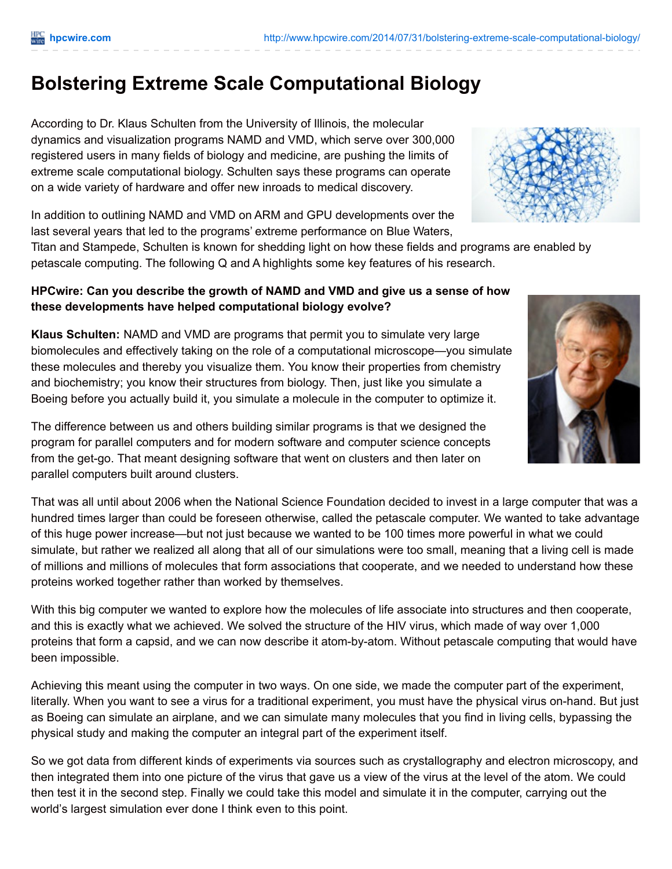# **Bolstering Extreme Scale Computational Biology**

According to Dr. Klaus Schulten from the University of Illinois, the molecular dynamics and visualization programs NAMD and VMD, which serve over 300,000 registered users in many fields of biology and medicine, are pushing the limits of extreme scale computational biology. Schulten says these programs can operate on a wide variety of hardware and offer new inroads to medical discovery.

In addition to outlining NAMD and VMD on ARM and GPU developments over the last several years that led to the programs' extreme performance on Blue Waters,

Titan and Stampede, Schulten is known for shedding light on how these fields and programs are enabled by petascale computing. The following Q and A highlights some key features of his research.

# **HPCwire: Can you describe the growth of NAMD and VMD and give us a sense of how these developments have helped computational biology evolve?**

**Klaus Schulten:** NAMD and VMD are programs that permit you to simulate very large biomolecules and effectively taking on the role of a computational microscope—you simulate these molecules and thereby you visualize them. You know their properties from chemistry and biochemistry; you know their structures from biology. Then, just like you simulate a Boeing before you actually build it, you simulate a molecule in the computer to optimize it.



That was all until about 2006 when the National Science Foundation decided to invest in a large computer that was a hundred times larger than could be foreseen otherwise, called the petascale computer. We wanted to take advantage of this huge power increase—but not just because we wanted to be 100 times more powerful in what we could simulate, but rather we realized all along that all of our simulations were too small, meaning that a living cell is made of millions and millions of molecules that form associations that cooperate, and we needed to understand how these proteins worked together rather than worked by themselves.

With this big computer we wanted to explore how the molecules of life associate into structures and then cooperate, and this is exactly what we achieved. We solved the structure of the HIV virus, which made of way over 1,000 proteins that form a capsid, and we can now describe it atom-by-atom. Without petascale computing that would have been impossible.

Achieving this meant using the computer in two ways. On one side, we made the computer part of the experiment, literally. When you want to see a virus for a traditional experiment, you must have the physical virus on-hand. But just as Boeing can simulate an airplane, and we can simulate many molecules that you find in living cells, bypassing the physical study and making the computer an integral part of the experiment itself.

So we got data from different kinds of experiments via sources such as crystallography and electron microscopy, and then integrated them into one picture of the virus that gave us a view of the virus at the level of the atom. We could then test it in the second step. Finally we could take this model and simulate it in the computer, carrying out the world's largest simulation ever done I think even to this point.



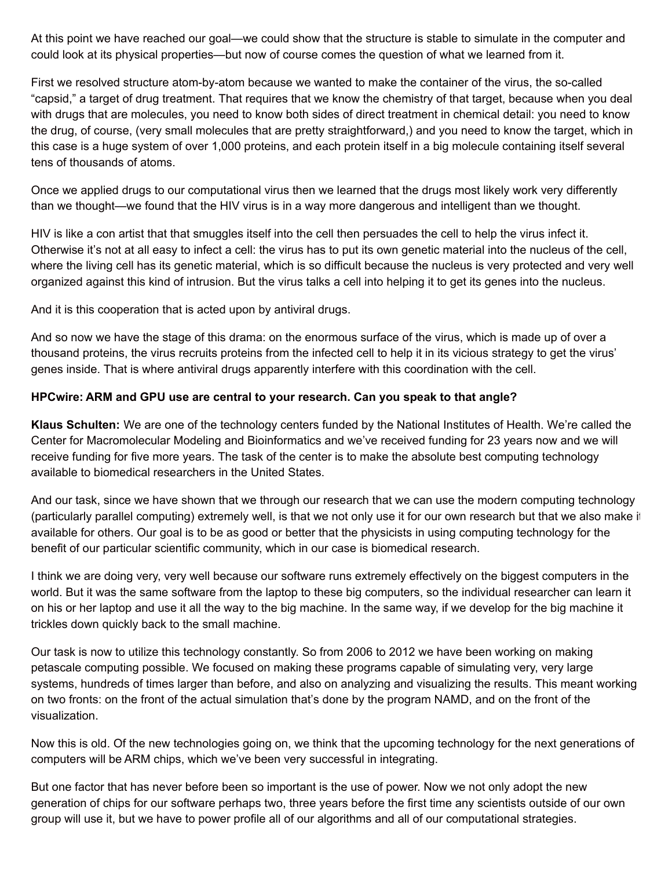At this point we have reached our goal—we could show that the structure is stable to simulate in the computer and could look at its physical properties—but now of course comes the question of what we learned from it.

First we resolved structure atom-by-atom because we wanted to make the container of the virus, the so-called "capsid," a target of drug treatment. That requires that we know the chemistry of that target, because when you deal with drugs that are molecules, you need to know both sides of direct treatment in chemical detail: you need to know the drug, of course, (very small molecules that are pretty straightforward,) and you need to know the target, which in this case is a huge system of over 1,000 proteins, and each protein itself in a big molecule containing itself several tens of thousands of atoms.

Once we applied drugs to our computational virus then we learned that the drugs most likely work very differently than we thought—we found that the HIV virus is in a way more dangerous and intelligent than we thought.

HIV is like a con artist that that smuggles itself into the cell then persuades the cell to help the virus infect it. Otherwise it's not at all easy to infect a cell: the virus has to put its own genetic material into the nucleus of the cell, where the living cell has its genetic material, which is so difficult because the nucleus is very protected and very well organized against this kind of intrusion. But the virus talks a cell into helping it to get its genes into the nucleus.

And it is this cooperation that is acted upon by antiviral drugs.

And so now we have the stage of this drama: on the enormous surface of the virus, which is made up of over a thousand proteins, the virus recruits proteins from the infected cell to help it in its vicious strategy to get the virus' genes inside. That is where antiviral drugs apparently interfere with this coordination with the cell.

#### **HPCwire: ARM and GPU use are central to your research. Can you speak to that angle?**

**Klaus Schulten:** We are one of the technology centers funded by the National Institutes of Health. We're called the Center for Macromolecular Modeling and Bioinformatics and we've received funding for 23 years now and we will receive funding for five more years. The task of the center is to make the absolute best computing technology available to biomedical researchers in the United States.

And our task, since we have shown that we through our research that we can use the modern computing technology (particularly parallel computing) extremely well, is that we not only use it for our own research but that we also make it available for others. Our goal is to be as good or better that the physicists in using computing technology for the benefit of our particular scientific community, which in our case is biomedical research.

I think we are doing very, very well because our software runs extremely effectively on the biggest computers in the world. But it was the same software from the laptop to these big computers, so the individual researcher can learn it on his or her laptop and use it all the way to the big machine. In the same way, if we develop for the big machine it trickles down quickly back to the small machine.

Our task is now to utilize this technology constantly. So from 2006 to 2012 we have been working on making petascale computing possible. We focused on making these programs capable of simulating very, very large systems, hundreds of times larger than before, and also on analyzing and visualizing the results. This meant working on two fronts: on the front of the actual simulation that's done by the program NAMD, and on the front of the visualization.

Now this is old. Of the new technologies going on, we think that the upcoming technology for the next generations of computers will be ARM chips, which we've been very successful in integrating.

But one factor that has never before been so important is the use of power. Now we not only adopt the new generation of chips for our software perhaps two, three years before the first time any scientists outside of our own group will use it, but we have to power profile all of our algorithms and all of our computational strategies.